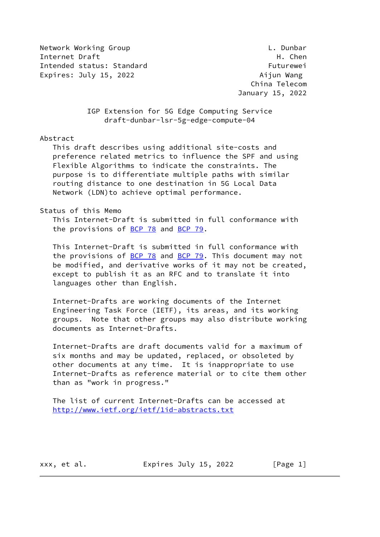Network Working Group **Letter Contains the Contract Contains Contains Contains Contains Contains Contains Conta** Internet Draft **H. Chen** Intended status: Standard Futurewei Expires: July 15, 2022 **Aijun Wang** 

 China Telecom January 15, 2022

 IGP Extension for 5G Edge Computing Service draft-dunbar-lsr-5g-edge-compute-04

Abstract

 This draft describes using additional site-costs and preference related metrics to influence the SPF and using Flexible Algorithms to indicate the constraints. The purpose is to differentiate multiple paths with similar routing distance to one destination in 5G Local Data Network (LDN)to achieve optimal performance.

# Status of this Memo

 This Internet-Draft is submitted in full conformance with the provisions of [BCP 78](https://datatracker.ietf.org/doc/pdf/bcp78) and [BCP 79](https://datatracker.ietf.org/doc/pdf/bcp79).

 This Internet-Draft is submitted in full conformance with the provisions of  $BCP$  78 and  $BCP$  79. This document may not be modified, and derivative works of it may not be created, except to publish it as an RFC and to translate it into languages other than English.

 Internet-Drafts are working documents of the Internet Engineering Task Force (IETF), its areas, and its working groups. Note that other groups may also distribute working documents as Internet-Drafts.

 Internet-Drafts are draft documents valid for a maximum of six months and may be updated, replaced, or obsoleted by other documents at any time. It is inappropriate to use Internet-Drafts as reference material or to cite them other than as "work in progress."

 The list of current Internet-Drafts can be accessed at <http://www.ietf.org/ietf/1id-abstracts.txt>

xxx, et al. Expires July 15, 2022 [Page 1]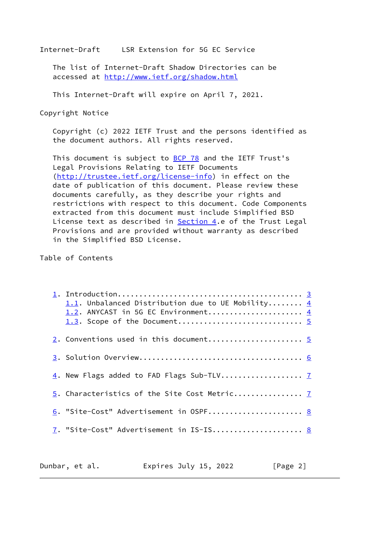The list of Internet-Draft Shadow Directories can be accessed at <http://www.ietf.org/shadow.html>

This Internet-Draft will expire on April 7, 2021.

Copyright Notice

 Copyright (c) 2022 IETF Trust and the persons identified as the document authors. All rights reserved.

This document is subject to **[BCP 78](https://datatracker.ietf.org/doc/pdf/bcp78)** and the IETF Trust's Legal Provisions Relating to IETF Documents [\(http://trustee.ietf.org/license-info](http://trustee.ietf.org/license-info)) in effect on the date of publication of this document. Please review these documents carefully, as they describe your rights and restrictions with respect to this document. Code Components extracted from this document must include Simplified BSD License text as described in **Section 4.e of the Trust Legal**  Provisions and are provided without warranty as described in the Simplified BSD License.

Table of Contents

| 1.1. Unbalanced Distribution due to UE Mobility $\underline{4}$<br>1.2. ANYCAST in 5G EC Environment $\underline{4}$ |  |
|----------------------------------------------------------------------------------------------------------------------|--|
|                                                                                                                      |  |
|                                                                                                                      |  |
|                                                                                                                      |  |
| 5. Characteristics of the Site Cost Metric 7                                                                         |  |
| 6. "Site-Cost" Advertisement in OSPF 8                                                                               |  |
| 7. "Site-Cost" Advertisement in IS-IS 8                                                                              |  |

| Dunbar, et al. | Expires July 15, 2022 | [Page 2] |
|----------------|-----------------------|----------|
|----------------|-----------------------|----------|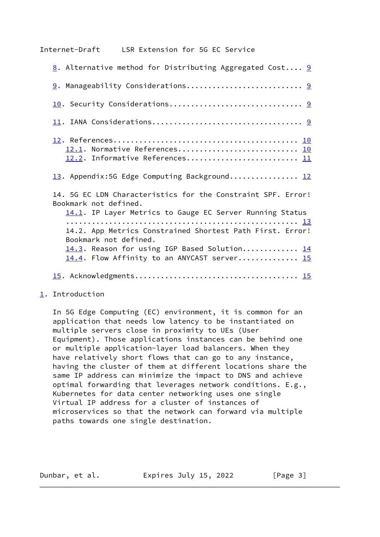<span id="page-2-1"></span>

| 8. Alternative method for Distributing Aggregated Cost 9                                                                                                                          |
|-----------------------------------------------------------------------------------------------------------------------------------------------------------------------------------|
|                                                                                                                                                                                   |
|                                                                                                                                                                                   |
|                                                                                                                                                                                   |
| 12.1. Normative References 10<br>12.2. Informative References 11                                                                                                                  |
| 13. Appendix:5G Edge Computing Background 12                                                                                                                                      |
| 14. 5G EC LDN Characteristics for the Constraint SPF. Error!<br>Bookmark not defined.<br>14.1. IP Layer Metrics to Gauge EC Server Running Status                                 |
| 14.2. App Metrics Constrained Shortest Path First. Error!<br>Bookmark not defined.<br>14.3. Reason for using IGP Based Solution 14<br>14.4. Flow Affinity to an ANYCAST server 15 |
|                                                                                                                                                                                   |

<span id="page-2-0"></span>[1](#page-2-0). Introduction

 In 5G Edge Computing (EC) environment, it is common for an application that needs low latency to be instantiated on multiple servers close in proximity to UEs (User Equipment). Those applications instances can be behind one or multiple application-layer load balancers. When they have relatively short flows that can go to any instance, having the cluster of them at different locations share the same IP address can minimize the impact to DNS and achieve optimal forwarding that leverages network conditions. E.g., Kubernetes for data center networking uses one single Virtual IP address for a cluster of instances of microservices so that the network can forward via multiple paths towards one single destination.

Dunbar, et al. Expires July 15, 2022 [Page 3]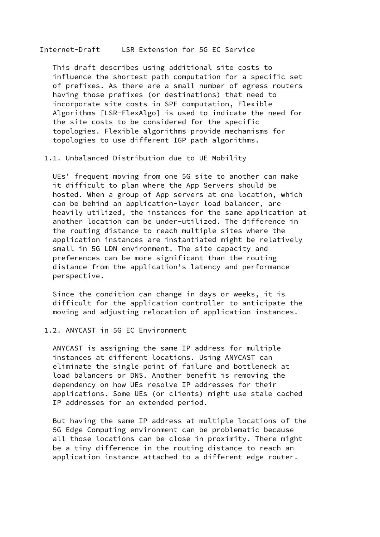<span id="page-3-0"></span> This draft describes using additional site costs to influence the shortest path computation for a specific set of prefixes. As there are a small number of egress routers having those prefixes (or destinations) that need to incorporate site costs in SPF computation, Flexible Algorithms [LSR-FlexAlgo] is used to indicate the need for the site costs to be considered for the specific topologies. Flexible algorithms provide mechanisms for topologies to use different IGP path algorithms.

1.1. Unbalanced Distribution due to UE Mobility

 UEs' frequent moving from one 5G site to another can make it difficult to plan where the App Servers should be hosted. When a group of App servers at one location, which can be behind an application-layer load balancer, are heavily utilized, the instances for the same application at another location can be under-utilized. The difference in the routing distance to reach multiple sites where the application instances are instantiated might be relatively small in 5G LDN environment. The site capacity and preferences can be more significant than the routing distance from the application's latency and performance perspective.

 Since the condition can change in days or weeks, it is difficult for the application controller to anticipate the moving and adjusting relocation of application instances.

### 1.2. ANYCAST in 5G EC Environment

 ANYCAST is assigning the same IP address for multiple instances at different locations. Using ANYCAST can eliminate the single point of failure and bottleneck at load balancers or DNS. Another benefit is removing the dependency on how UEs resolve IP addresses for their applications. Some UEs (or clients) might use stale cached IP addresses for an extended period.

 But having the same IP address at multiple locations of the 5G Edge Computing environment can be problematic because all those locations can be close in proximity. There might be a tiny difference in the routing distance to reach an application instance attached to a different edge router.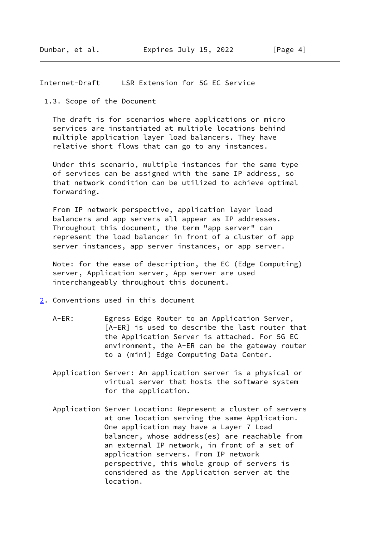<span id="page-4-0"></span>1.3. Scope of the Document

 The draft is for scenarios where applications or micro services are instantiated at multiple locations behind multiple application layer load balancers. They have relative short flows that can go to any instances.

 Under this scenario, multiple instances for the same type of services can be assigned with the same IP address, so that network condition can be utilized to achieve optimal forwarding.

 From IP network perspective, application layer load balancers and app servers all appear as IP addresses. Throughout this document, the term "app server" can represent the load balancer in front of a cluster of app server instances, app server instances, or app server.

 Note: for the ease of description, the EC (Edge Computing) server, Application server, App server are used interchangeably throughout this document.

- <span id="page-4-1"></span>[2](#page-4-1). Conventions used in this document
	- A-ER: Egress Edge Router to an Application Server, [A-ER] is used to describe the last router that the Application Server is attached. For 5G EC environment, the A-ER can be the gateway router to a (mini) Edge Computing Data Center.
	- Application Server: An application server is a physical or virtual server that hosts the software system for the application.
	- Application Server Location: Represent a cluster of servers at one location serving the same Application. One application may have a Layer 7 Load balancer, whose address(es) are reachable from an external IP network, in front of a set of application servers. From IP network perspective, this whole group of servers is considered as the Application server at the location.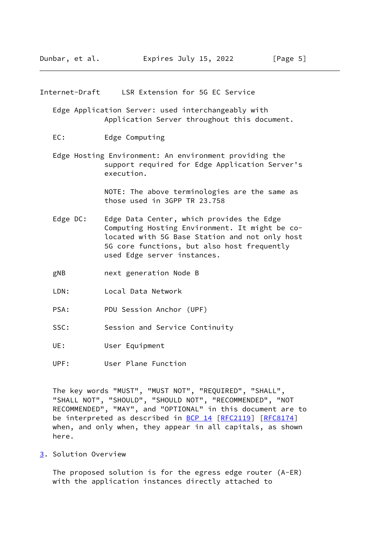<span id="page-5-1"></span> Edge Application Server: used interchangeably with Application Server throughout this document.

- EC: Edge Computing
- Edge Hosting Environment: An environment providing the support required for Edge Application Server's execution.

 NOTE: The above terminologies are the same as those used in 3GPP TR 23.758

- Edge DC: Edge Data Center, which provides the Edge Computing Hosting Environment. It might be co located with 5G Base Station and not only host 5G core functions, but also host frequently used Edge server instances.
- gNB next generation Node B
- LDN: Local Data Network
- PSA: PDU Session Anchor (UPF)
- SSC: Session and Service Continuity
- UE: User Equipment
- UPF: User Plane Function

 The key words "MUST", "MUST NOT", "REQUIRED", "SHALL", "SHALL NOT", "SHOULD", "SHOULD NOT", "RECOMMENDED", "NOT RECOMMENDED", "MAY", and "OPTIONAL" in this document are to be interpreted as described in [BCP 14](https://datatracker.ietf.org/doc/pdf/bcp14) [[RFC2119](https://datatracker.ietf.org/doc/pdf/rfc2119)] [\[RFC8174](https://datatracker.ietf.org/doc/pdf/rfc8174)] when, and only when, they appear in all capitals, as shown here.

<span id="page-5-0"></span>[3](#page-5-0). Solution Overview

 The proposed solution is for the egress edge router (A-ER) with the application instances directly attached to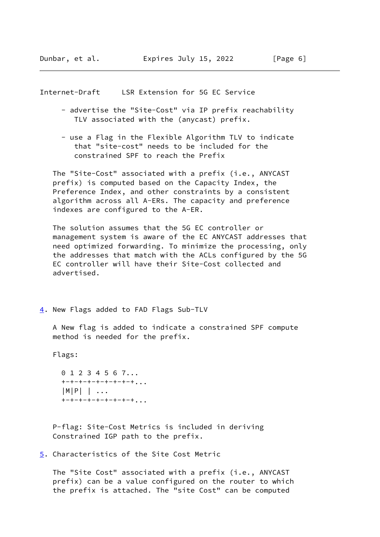- <span id="page-6-1"></span> - advertise the "Site-Cost" via IP prefix reachability TLV associated with the (anycast) prefix.
- use a Flag in the Flexible Algorithm TLV to indicate that "site-cost" needs to be included for the constrained SPF to reach the Prefix

 The "Site-Cost" associated with a prefix (i.e., ANYCAST prefix) is computed based on the Capacity Index, the Preference Index, and other constraints by a consistent algorithm across all A-ERs. The capacity and preference indexes are configured to the A-ER.

 The solution assumes that the 5G EC controller or management system is aware of the EC ANYCAST addresses that need optimized forwarding. To minimize the processing, only the addresses that match with the ACLs configured by the 5G EC controller will have their Site-Cost collected and advertised.

<span id="page-6-0"></span>[4](#page-6-0). New Flags added to FAD Flags Sub-TLV

 A New flag is added to indicate a constrained SPF compute method is needed for the prefix.

Flags:

 0 1 2 3 4 5 6 7... +-+-+-+-+-+-+-+-+... |M|P| | ...  $+$ -+-+-+-+-+-+-+...

 P-flag: Site-Cost Metrics is included in deriving Constrained IGP path to the prefix.

<span id="page-6-2"></span>[5](#page-6-2). Characteristics of the Site Cost Metric

 The "Site Cost" associated with a prefix (i.e., ANYCAST prefix) can be a value configured on the router to which the prefix is attached. The "site Cost" can be computed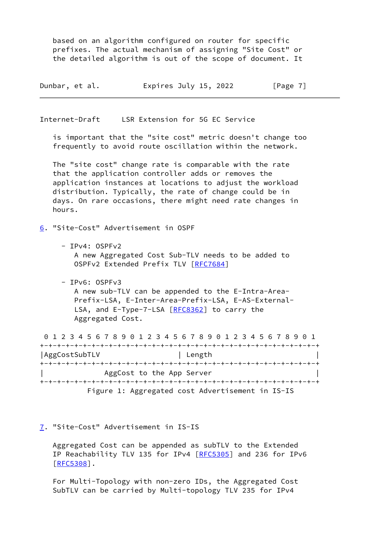based on an algorithm configured on router for specific prefixes. The actual mechanism of assigning "Site Cost" or the detailed algorithm is out of the scope of document. It

| Dunbar, et al. | Expires July 15, 2022 | [Page 7] |
|----------------|-----------------------|----------|
|                |                       |          |

<span id="page-7-1"></span>Internet-Draft LSR Extension for 5G EC Service

 is important that the "site cost" metric doesn't change too frequently to avoid route oscillation within the network.

 The "site cost" change rate is comparable with the rate that the application controller adds or removes the application instances at locations to adjust the workload distribution. Typically, the rate of change could be in days. On rare occasions, there might need rate changes in hours.

<span id="page-7-0"></span>[6](#page-7-0). "Site-Cost" Advertisement in OSPF

- IPv4: OSPFv2 A new Aggregated Cost Sub-TLV needs to be added to OSPFv2 Extended Prefix TLV [\[RFC7684](https://datatracker.ietf.org/doc/pdf/rfc7684)]
- IPv6: OSPFv3 A new sub-TLV can be appended to the E-Intra-Area- Prefix-LSA, E-Inter-Area-Prefix-LSA, E-AS-External- LSA, and E-Type-7-LSA [[RFC8362\]](https://datatracker.ietf.org/doc/pdf/rfc8362) to carry the Aggregated Cost.

 0 1 2 3 4 5 6 7 8 9 0 1 2 3 4 5 6 7 8 9 0 1 2 3 4 5 6 7 8 9 0 1 +-+-+-+-+-+-+-+-+-+-+-+-+-+-+-+-+-+-+-+-+-+-+-+-+-+-+-+-+-+-+-+-+ | AggCostSubTLV | Length +-+-+-+-+-+-+-+-+-+-+-+-+-+-+-+-+-+-+-+-+-+-+-+-+-+-+-+-+-+-+-+-+ | AggCost to the App Server | +-+-+-+-+-+-+-+-+-+-+-+-+-+-+-+-+-+-+-+-+-+-+-+-+-+-+-+-+-+-+-+-+ Figure 1: Aggregated cost Advertisement in IS-IS

<span id="page-7-2"></span>[7](#page-7-2). "Site-Cost" Advertisement in IS-IS

 Aggregated Cost can be appended as subTLV to the Extended IP Reachability TLV 135 for IPv4 [\[RFC5305](https://datatracker.ietf.org/doc/pdf/rfc5305)] and 236 for IPv6 [\[RFC5308](https://datatracker.ietf.org/doc/pdf/rfc5308)].

 For Multi-Topology with non-zero IDs, the Aggregated Cost SubTLV can be carried by Multi-topology TLV 235 for IPv4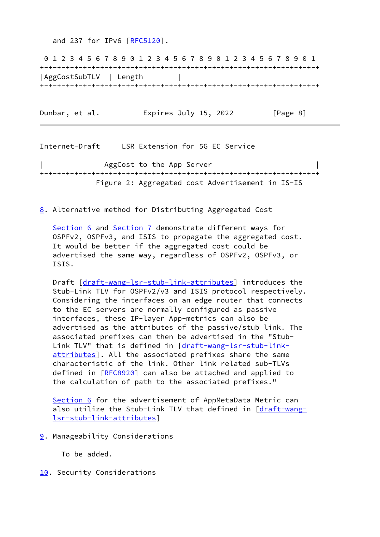and 237 for IPv6 [\[RFC5120](https://datatracker.ietf.org/doc/pdf/rfc5120)].

 0 1 2 3 4 5 6 7 8 9 0 1 2 3 4 5 6 7 8 9 0 1 2 3 4 5 6 7 8 9 0 1 +-+-+-+-+-+-+-+-+-+-+-+-+-+-+-+-+-+-+-+-+-+-+-+-+-+-+-+-+-+-+-+-+ |AggCostSubTLV | Length | +-+-+-+-+-+-+-+-+-+-+-+-+-+-+-+-+-+-+-+-+-+-+-+-+-+-+-+-+-+-+-+-+

Dunbar, et al. **Expires July 15, 2022** [Page 8]

<span id="page-8-1"></span>Internet-Draft LSR Extension for 5G EC Service | AggCost to the App Server +-+-+-+-+-+-+-+-+-+-+-+-+-+-+-+-+-+-+-+-+-+-+-+-+-+-+-+-+-+-+-+-+ Figure 2: Aggregated cost Advertisement in IS-IS

<span id="page-8-0"></span>[8](#page-8-0). Alternative method for Distributing Aggregated Cost

[Section 6](#page-7-0) and [Section 7](#page-7-2) demonstrate different ways for OSPFv2, OSPFv3, and ISIS to propagate the aggregated cost. It would be better if the aggregated cost could be advertised the same way, regardless of OSPFv2, OSPFv3, or ISIS.

 Draft [[draft-wang-lsr-stub-link-attributes](https://datatracker.ietf.org/doc/pdf/draft-wang-lsr-stub-link-attributes)] introduces the Stub-Link TLV for OSPFv2/v3 and ISIS protocol respectively. Considering the interfaces on an edge router that connects to the EC servers are normally configured as passive interfaces, these IP-layer App-metrics can also be advertised as the attributes of the passive/stub link. The associated prefixes can then be advertised in the "Stub- Link TLV" that is defined in [\[draft-wang-lsr-stub-link](https://datatracker.ietf.org/doc/pdf/draft-wang-lsr-stub-link-attributes) [attributes](https://datatracker.ietf.org/doc/pdf/draft-wang-lsr-stub-link-attributes)]. All the associated prefixes share the same characteristic of the link. Other link related sub-TLVs defined in [[RFC8920\]](https://datatracker.ietf.org/doc/pdf/rfc8920) can also be attached and applied to the calculation of path to the associated prefixes."

[Section 6](#page-7-0) for the advertisement of AppMetaData Metric can also utilize the Stub-Link TLV that defined in [\[draft-wang](https://datatracker.ietf.org/doc/pdf/draft-wang-lsr-stub-link-attributes) [lsr-stub-link-attributes](https://datatracker.ietf.org/doc/pdf/draft-wang-lsr-stub-link-attributes)]

<span id="page-8-2"></span>[9](#page-8-2). Manageability Considerations

To be added.

<span id="page-8-3"></span>[10.](#page-8-3) Security Considerations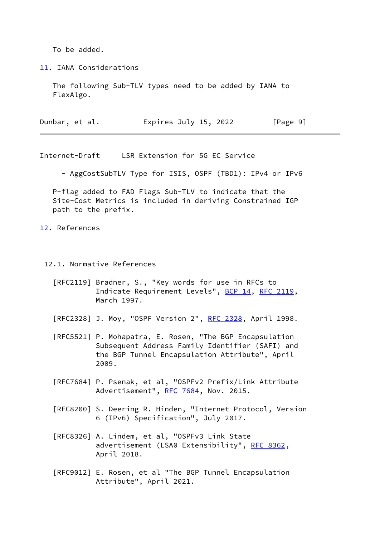To be added.

<span id="page-9-0"></span>[11.](#page-9-0) IANA Considerations

 The following Sub-TLV types need to be added by IANA to FlexAlgo.

| Dunbar, et al. | Expires July 15, 2022 | [Page 9] |
|----------------|-----------------------|----------|
|----------------|-----------------------|----------|

<span id="page-9-2"></span>Internet-Draft LSR Extension for 5G EC Service

- AggCostSubTLV Type for ISIS, OSPF (TBD1): IPv4 or IPv6

 P-flag added to FAD Flags Sub-TLV to indicate that the Site-Cost Metrics is included in deriving Constrained IGP path to the prefix.

<span id="page-9-1"></span>[12.](#page-9-1) References

12.1. Normative References

- [RFC2119] Bradner, S., "Key words for use in RFCs to Indicate Requirement Levels", [BCP 14](https://datatracker.ietf.org/doc/pdf/bcp14), [RFC 2119](https://datatracker.ietf.org/doc/pdf/rfc2119), March 1997.
- [RFC2328] J. Moy, "OSPF Version 2", <u>RFC 2328</u>, April 1998.
- [RFC5521] P. Mohapatra, E. Rosen, "The BGP Encapsulation Subsequent Address Family Identifier (SAFI) and the BGP Tunnel Encapsulation Attribute", April 2009.
- [RFC7684] P. Psenak, et al, "OSPFv2 Prefix/Link Attribute Advertisement", [RFC 7684](https://datatracker.ietf.org/doc/pdf/rfc7684), Nov. 2015.
- [RFC8200] S. Deering R. Hinden, "Internet Protocol, Version 6 (IPv6) Specification", July 2017.
- [RFC8326] A. Lindem, et al, "OSPFv3 Link State advertisement (LSA0 Extensibility", [RFC 8362](https://datatracker.ietf.org/doc/pdf/rfc8362), April 2018.
- [RFC9012] E. Rosen, et al "The BGP Tunnel Encapsulation Attribute", April 2021.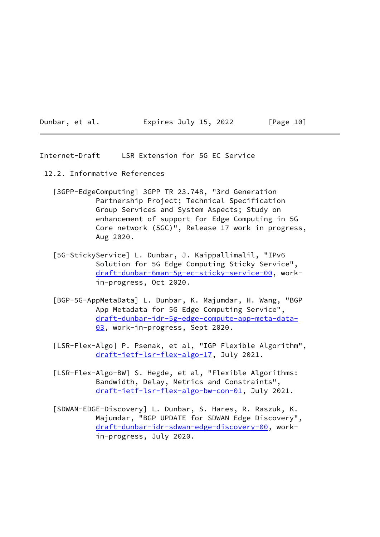Dunbar, et al. Expires July 15, 2022 [Page 10]

<span id="page-10-0"></span>Internet-Draft LSR Extension for 5G EC Service

- <span id="page-10-1"></span> 12.2. Informative References
	- [3GPP-EdgeComputing] 3GPP TR 23.748, "3rd Generation Partnership Project; Technical Specification Group Services and System Aspects; Study on enhancement of support for Edge Computing in 5G Core network (5GC)", Release 17 work in progress, Aug 2020.
	- [5G-StickyService] L. Dunbar, J. Kaippallimalil, "IPv6 Solution for 5G Edge Computing Sticky Service", [draft-dunbar-6man-5g-ec-sticky-service-00,](https://datatracker.ietf.org/doc/pdf/draft-dunbar-6man-5g-ec-sticky-service-00) work in-progress, Oct 2020.
	- [BGP-5G-AppMetaData] L. Dunbar, K. Majumdar, H. Wang, "BGP App Metadata for 5G Edge Computing Service", [draft-dunbar-idr-5g-edge-compute-app-meta-data-](https://datatracker.ietf.org/doc/pdf/draft-dunbar-idr-5g-edge-compute-app-meta-data-03) [03,](https://datatracker.ietf.org/doc/pdf/draft-dunbar-idr-5g-edge-compute-app-meta-data-03) work-in-progress, Sept 2020.
	- [LSR-Flex-Algo] P. Psenak, et al, "IGP Flexible Algorithm", [draft-ietf-lsr-flex-algo-17](https://datatracker.ietf.org/doc/pdf/draft-ietf-lsr-flex-algo-17), July 2021.
	- [LSR-Flex-Algo-BW] S. Hegde, et al, "Flexible Algorithms: Bandwidth, Delay, Metrics and Constraints", [draft-ietf-lsr-flex-algo-bw-con-01,](https://datatracker.ietf.org/doc/pdf/draft-ietf-lsr-flex-algo-bw-con-01) July 2021.
	- [SDWAN-EDGE-Discovery] L. Dunbar, S. Hares, R. Raszuk, K. Majumdar, "BGP UPDATE for SDWAN Edge Discovery", [draft-dunbar-idr-sdwan-edge-discovery-00](https://datatracker.ietf.org/doc/pdf/draft-dunbar-idr-sdwan-edge-discovery-00), work in-progress, July 2020.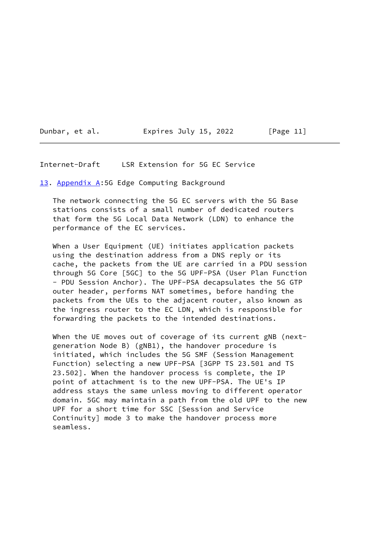Dunbar, et al. Expires July 15, 2022 [Page 11]

### <span id="page-11-1"></span>Internet-Draft LSR Extension for 5G EC Service

<span id="page-11-0"></span>[13.](#page-11-0) Appendix A:5G Edge Computing Background

 The network connecting the 5G EC servers with the 5G Base stations consists of a small number of dedicated routers that form the 5G Local Data Network (LDN) to enhance the performance of the EC services.

 When a User Equipment (UE) initiates application packets using the destination address from a DNS reply or its cache, the packets from the UE are carried in a PDU session through 5G Core [5GC] to the 5G UPF-PSA (User Plan Function - PDU Session Anchor). The UPF-PSA decapsulates the 5G GTP outer header, performs NAT sometimes, before handing the packets from the UEs to the adjacent router, also known as the ingress router to the EC LDN, which is responsible for forwarding the packets to the intended destinations.

 When the UE moves out of coverage of its current gNB (next generation Node B) (gNB1), the handover procedure is initiated, which includes the 5G SMF (Session Management Function) selecting a new UPF-PSA [3GPP TS 23.501 and TS 23.502]. When the handover process is complete, the IP point of attachment is to the new UPF-PSA. The UE's IP address stays the same unless moving to different operator domain. 5GC may maintain a path from the old UPF to the new UPF for a short time for SSC [Session and Service Continuity] mode 3 to make the handover process more seamless.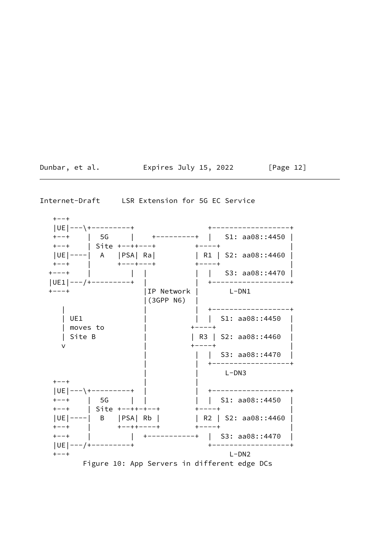Dunbar, et al. **Expires July 15, 2022** [Page 12]

<span id="page-12-0"></span>Internet-Draft LSR Extension for 5G EC Service

 $+--+$  |UE|---\+---------+ +------------------+ +--+ | 5G | +---------+ | S1: aa08::4450 | +--+ | Site +--++---+ +----+ | |UE|----| A |PSA| Ra| | | R1 | S2: aa08::4460 | +--+ | +---+---+ +----+ | +---+ | | | | | S3: aa08::4470 | |UE1|---/+---------+ | | +------------------+ +---+ |IP Network | L-DN1 |(3GPP N6) | | | | +------------------+ | UE1 | | | S1: aa08::4450 | | moves to | +----+ | | Site B | | R3 | S2: aa08::4460 | v | +----+ | | S3: aa08::4470 | | +------------------+ | | L-DN3 +--+ | | |UE|---\+---------+ | | +------------------+ +--+ | 5G | | | | S1: aa08::4450 | +--+ | Site +--++-+--+ +----+ | |UE|----| B |PSA| Rb | | R2 | S2: aa08::4460 | +--+ | +--++----+ +----+ | +--+ | | +-----------+ | S3: aa08::4470 | |UE|---/+---------+ +------------------+ +--+ L-DN2 Figure 10: App Servers in different edge DCs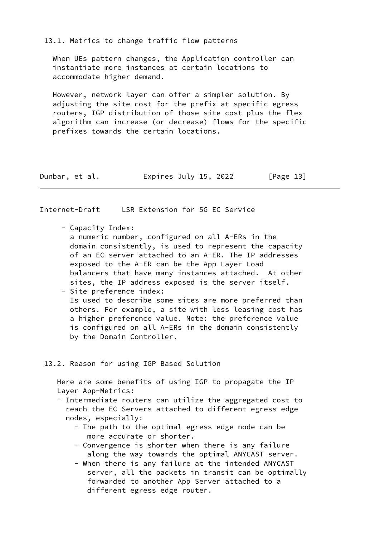13.1. Metrics to change traffic flow patterns

 When UEs pattern changes, the Application controller can instantiate more instances at certain locations to accommodate higher demand.

 However, network layer can offer a simpler solution. By adjusting the site cost for the prefix at specific egress routers, IGP distribution of those site cost plus the flex algorithm can increase (or decrease) flows for the specific prefixes towards the certain locations.

| Dunbar, et al. | Expires July 15, 2022 | [Page 13] |
|----------------|-----------------------|-----------|
|                |                       |           |

<span id="page-13-0"></span>Internet-Draft LSR Extension for 5G EC Service

- Capacity Index:

 a numeric number, configured on all A-ERs in the domain consistently, is used to represent the capacity of an EC server attached to an A-ER. The IP addresses exposed to the A-ER can be the App Layer Load balancers that have many instances attached. At other sites, the IP address exposed is the server itself. - Site preference index:

 Is used to describe some sites are more preferred than others. For example, a site with less leasing cost has a higher preference value. Note: the preference value is configured on all A-ERs in the domain consistently by the Domain Controller.

## 13.2. Reason for using IGP Based Solution

 Here are some benefits of using IGP to propagate the IP Layer App-Metrics:

- Intermediate routers can utilize the aggregated cost to reach the EC Servers attached to different egress edge nodes, especially:
	- The path to the optimal egress edge node can be more accurate or shorter.
	- Convergence is shorter when there is any failure along the way towards the optimal ANYCAST server.
	- When there is any failure at the intended ANYCAST server, all the packets in transit can be optimally forwarded to another App Server attached to a different egress edge router.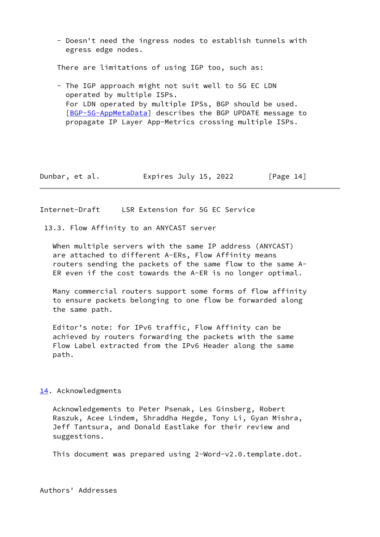- Doesn't need the ingress nodes to establish tunnels with egress edge nodes.

There are limitations of using IGP too, such as:

 - The IGP approach might not suit well to 5G EC LDN operated by multiple ISPs. For LDN operated by multiple IPSs, BGP should be used. [[BGP-5G-AppMetaData\]](#page-10-1) describes the BGP UPDATE message to propagate IP Layer App-Metrics crossing multiple ISPs.

Dunbar, et al. **Expires July 15, 2022** [Page 14]

<span id="page-14-0"></span>Internet-Draft LSR Extension for 5G EC Service

13.3. Flow Affinity to an ANYCAST server

 When multiple servers with the same IP address (ANYCAST) are attached to different A-ERs, Flow Affinity means routers sending the packets of the same flow to the same A- ER even if the cost towards the A-ER is no longer optimal.

 Many commercial routers support some forms of flow affinity to ensure packets belonging to one flow be forwarded along the same path.

 Editor's note: for IPv6 traffic, Flow Affinity can be achieved by routers forwarding the packets with the same Flow Label extracted from the IPv6 Header along the same path.

#### <span id="page-14-1"></span>[14.](#page-14-1) Acknowledgments

 Acknowledgements to Peter Psenak, Les Ginsberg, Robert Raszuk, Acee Lindem, Shraddha Hegde, Tony Li, Gyan Mishra, Jeff Tantsura, and Donald Eastlake for their review and suggestions.

This document was prepared using 2-Word-v2.0.template.dot.

Authors' Addresses